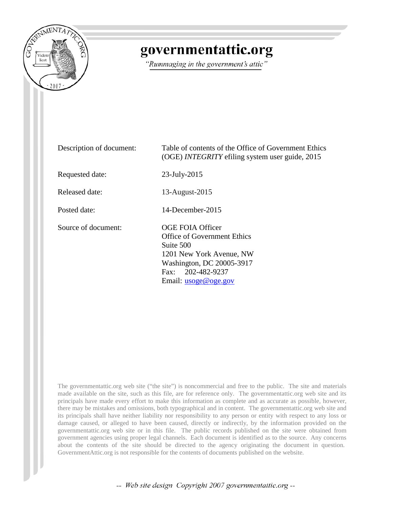

## governmentattic.org

"Rummaging in the government's attic"

| Description of document: | Table of contents of the Office of Government Ethics<br>(OGE) <i>INTEGRITY</i> efiling system user guide, 2015                                                                   |
|--------------------------|----------------------------------------------------------------------------------------------------------------------------------------------------------------------------------|
| Requested date:          | $23$ -July- $2015$                                                                                                                                                               |
| Released date:           | 13-August-2015                                                                                                                                                                   |
| Posted date:             | $14$ -December-2015                                                                                                                                                              |
| Source of document:      | <b>OGE FOIA Officer</b><br>Office of Government Ethics<br>Suite 500<br>1201 New York Avenue, NW<br>Washington, DC 20005-3917<br>Fax: 202-482-9237<br>Email: <u>usoge@oge.gov</u> |

The governmentattic.org web site ("the site") is noncommercial and free to the public. The site and materials made available on the site, such as this file, are for reference only. The governmentattic.org web site and its principals have made every effort to make this information as complete and as accurate as possible, however, there may be mistakes and omissions, both typographical and in content. The governmentattic.org web site and its principals shall have neither liability nor responsibility to any person or entity with respect to any loss or damage caused, or alleged to have been caused, directly or indirectly, by the information provided on the governmentattic.org web site or in this file. The public records published on the site were obtained from government agencies using proper legal channels. Each document is identified as to the source. Any concerns about the contents of the site should be directed to the agency originating the document in question. GovernmentAttic.org is not responsible for the contents of documents published on the website.

-- Web site design Copyright 2007 governmentattic.org --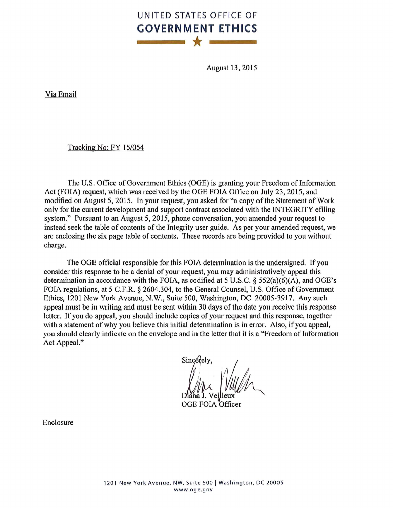## UNITED STATES OFFICE OF **GOVERNME NT ETHICS**  \* |

August 13, 2015

Via Email

Tracking No: FY 15/054

The U.S. Office of Government Ethics (OGE) is granting your Freedom of Information Act (FOIA) request, which was received by the OGE FOIA Office on July 23, 2015, and modified on August 5, 2015. In your request, you asked for "a copy of the Statement of Work only for the current development and support contract associated with the INTEGRITY efiling system." Pursuant to an August 5, 2015, phone conversation, you amended your request to instead seek the table of contents of the Integrity user guide. As per your amended request, we are enclosing the six page table of contents. These records are being provided to you without charge.

The OGE official responsible for this FOIA determination is the undersigned. If you consider this response to be a denial of your request, you may administratively appeal this determination in accordance with the FOIA, as codified at 5 U.S.C. § 552(a)(6)(A), and OGE's FOIA regulations, at 5 C.F.R. § 2604.304, to the General Counsel, U.S. Office of Government Ethics, 1201 New York Avenue, N.W., Suite 500, Washington, DC 20005-3917. Any such appeal must be in writing and must be sent within 30 days of the date you receive this response letter. If you do appeal, you should include copies of your request and this response, together with a statement of why you believe this initial determination is in error. Also, if you appeal, you should clearly indicate on the envelope and in the letter that it is a "Freedom of Information Act Appeal."

Sincerely.

OGE FOIA Officer

Enclosure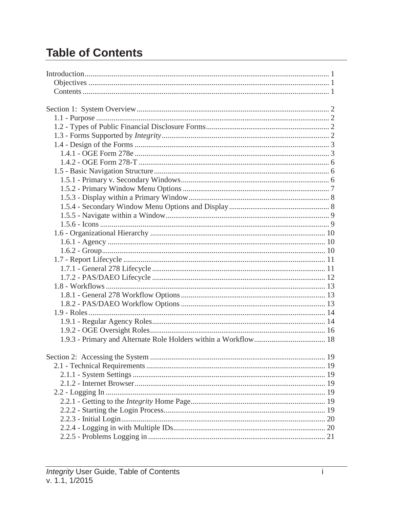## **Table of Contents**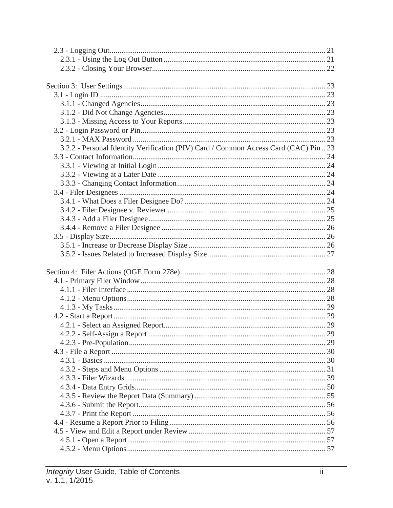| 3.2.2 - Personal Identity Verification (PIV) Card / Common Access Card (CAC) Pin. 23 |  |
|--------------------------------------------------------------------------------------|--|
|                                                                                      |  |
|                                                                                      |  |
|                                                                                      |  |
|                                                                                      |  |
|                                                                                      |  |
|                                                                                      |  |
|                                                                                      |  |
|                                                                                      |  |
|                                                                                      |  |
|                                                                                      |  |
|                                                                                      |  |
|                                                                                      |  |
|                                                                                      |  |
|                                                                                      |  |
|                                                                                      |  |
|                                                                                      |  |
|                                                                                      |  |
|                                                                                      |  |
|                                                                                      |  |
|                                                                                      |  |
|                                                                                      |  |
|                                                                                      |  |
|                                                                                      |  |
|                                                                                      |  |
|                                                                                      |  |
|                                                                                      |  |
|                                                                                      |  |
|                                                                                      |  |
|                                                                                      |  |
|                                                                                      |  |
|                                                                                      |  |
|                                                                                      |  |
|                                                                                      |  |
|                                                                                      |  |
|                                                                                      |  |